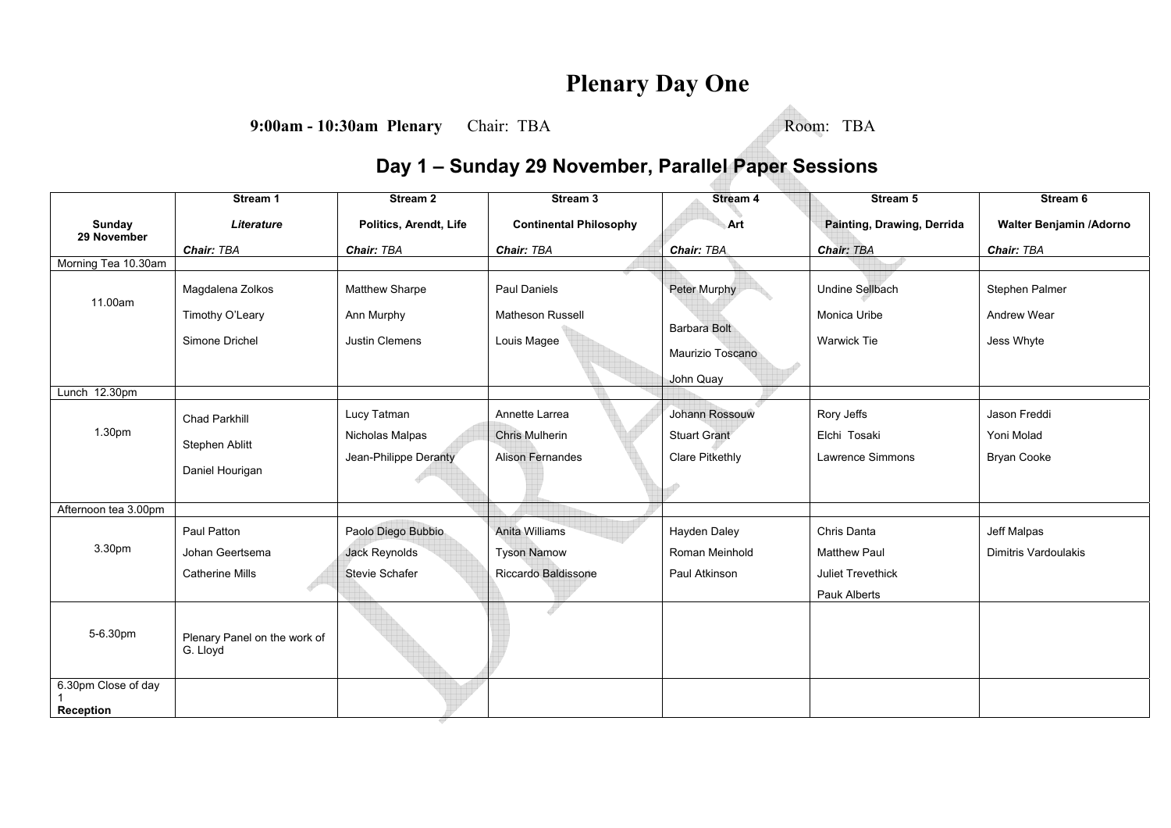## **Plenary Day One**

**9:00am - 10:30am Plenary** Chair: TBA Room: TBA

## **Day 1 – Sunday 29 November, Parallel Paper Sessions**

|                              | Stream 1                     | Stream <sub>2</sub>    | Stream 3                      | <b>Stream 4</b>        | Stream 5                   | Stream 6                    |
|------------------------------|------------------------------|------------------------|-------------------------------|------------------------|----------------------------|-----------------------------|
| <b>Sunday</b><br>29 November | <b>Literature</b>            | Politics, Arendt, Life | <b>Continental Philosophy</b> | Art                    | Painting, Drawing, Derrida | Walter Benjamin / Adorno    |
|                              | Chair: TBA                   | Chair: TBA             | Chair: TBA                    | Chair: TBA             | <b>Chair: TBA</b>          | Chair: TBA                  |
| Morning Tea 10.30am          |                              |                        |                               |                        |                            |                             |
| 11.00am                      | Magdalena Zolkos             | Matthew Sharpe         | <b>Paul Daniels</b>           | Peter Murphy           | <b>Undine Sellbach</b>     | Stephen Palmer              |
|                              | Timothy O'Leary              | Ann Murphy             | <b>Matheson Russell</b>       | <b>Barbara Bolt</b>    | Monica Uribe               | Andrew Wear                 |
|                              | Simone Drichel               | <b>Justin Clemens</b>  | Louis Magee                   |                        | <b>Warwick Tie</b>         | Jess Whyte                  |
|                              |                              |                        |                               | Maurizio Toscano       |                            |                             |
|                              |                              |                        |                               | John Quay              |                            |                             |
| Lunch 12.30pm                |                              |                        |                               |                        |                            |                             |
|                              | <b>Chad Parkhill</b>         | Lucy Tatman            | Annette Larrea                | Johann Rossouw         | Rory Jeffs                 | Jason Freddi                |
| 1.30pm                       | Stephen Ablitt               | Nicholas Malpas        | <b>Chris Mulherin</b>         | <b>Stuart Grant</b>    | Elchi Tosaki               | Yoni Molad                  |
|                              |                              | Jean-Philippe Deranty  | <b>Alison Fernandes</b>       | <b>Clare Pitkethly</b> | Lawrence Simmons           | <b>Bryan Cooke</b>          |
|                              | Daniel Hourigan              |                        |                               |                        |                            |                             |
|                              |                              |                        |                               |                        |                            |                             |
| Afternoon tea 3.00pm         |                              |                        |                               |                        |                            |                             |
|                              | Paul Patton                  | Paolo Diego Bubbio     | Anita Williams                | Hayden Daley           | Chris Danta                | Jeff Malpas                 |
| 3.30pm                       | Johan Geertsema              | Jack Reynolds          | <b>Tyson Namow</b>            | Roman Meinhold         | <b>Matthew Paul</b>        | <b>Dimitris Vardoulakis</b> |
|                              | <b>Catherine Mills</b>       | <b>Stevie Schafer</b>  | Riccardo Baldissone           | Paul Atkinson          | <b>Juliet Trevethick</b>   |                             |
|                              |                              |                        |                               |                        | <b>Pauk Alberts</b>        |                             |
|                              |                              |                        | P                             |                        |                            |                             |
| 5-6.30pm                     | Plenary Panel on the work of |                        |                               |                        |                            |                             |
|                              | G. Lloyd                     |                        |                               |                        |                            |                             |
|                              |                              |                        |                               |                        |                            |                             |
| 6.30pm Close of day          |                              |                        |                               |                        |                            |                             |
| Reception                    |                              |                        |                               |                        |                            |                             |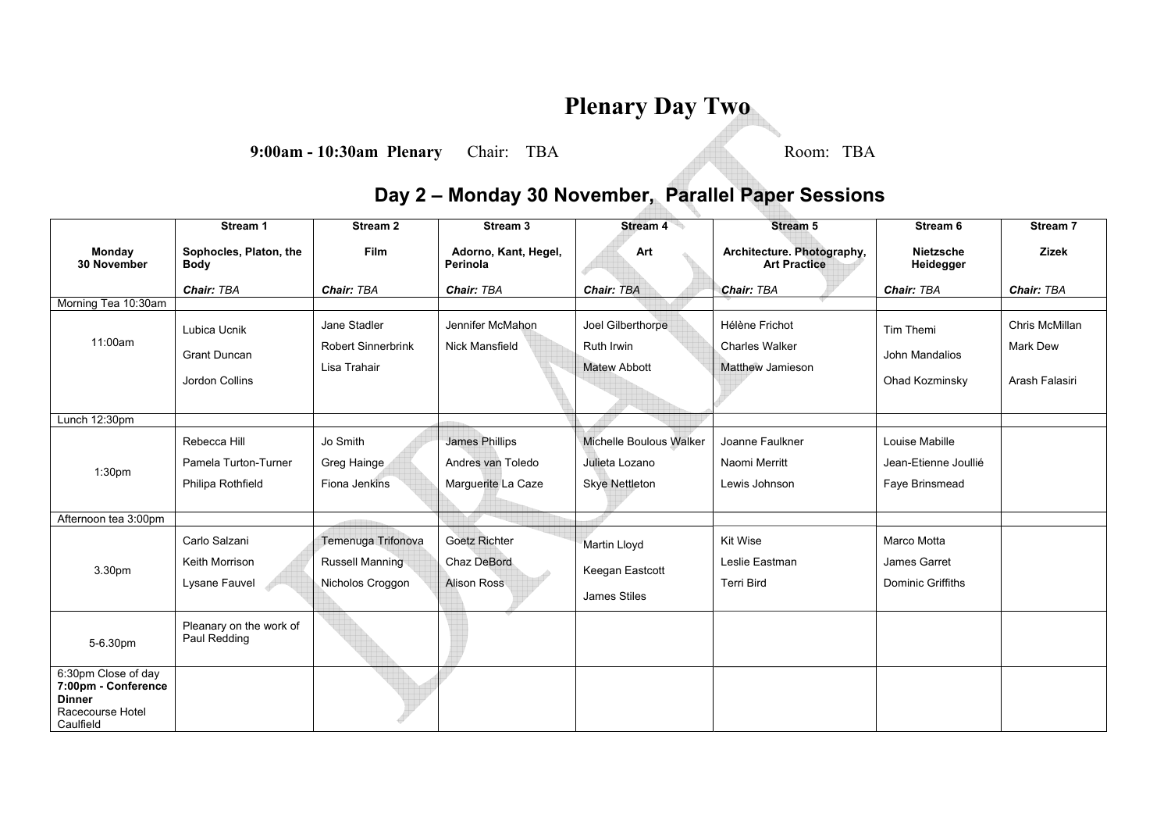## **Plenary Day Two**

**9:00am - 10:30am Plenary** Chair: TBA Room: TBA

## **Day 2 – Monday 30 November, Parallel Paper Sessions**

|                                                                                              | Stream 1                                | Stream 2                                     | Stream <sub>3</sub>                 | Stream 4                          | <b>Stream 5</b>                                   | Stream 6                    | Stream 7       |
|----------------------------------------------------------------------------------------------|-----------------------------------------|----------------------------------------------|-------------------------------------|-----------------------------------|---------------------------------------------------|-----------------------------|----------------|
| Monday<br>30 November                                                                        | Sophocles, Platon, the<br><b>Body</b>   | Film                                         | Adorno, Kant, Hegel,<br>Perinola    | Art                               | Architecture. Photography,<br><b>Art Practice</b> | Nietzsche<br>Heidegger      | <b>Zizek</b>   |
|                                                                                              | Chair: TBA                              | Chair: TBA                                   | Chair: TBA                          | <b>Chair: TBA</b>                 | Chair: TBA                                        | Chair: TBA                  | Chair: TBA     |
| Morning Tea 10:30am                                                                          |                                         |                                              |                                     |                                   |                                                   |                             |                |
|                                                                                              | Lubica Ucnik                            | Jane Stadler                                 | Jennifer McMahon                    | Joel Gilberthorpe                 | Hélène Frichot                                    | Tim Themi                   | Chris McMillan |
| 11:00am                                                                                      | <b>Grant Duncan</b>                     | <b>Robert Sinnerbrink</b><br>Lisa Trahair    | <b>Nick Mansfield</b>               | Ruth Irwin<br><b>Matew Abbott</b> | <b>Charles Walker</b><br><b>Matthew Jamieson</b>  | John Mandalios              | Mark Dew       |
|                                                                                              | Jordon Collins                          |                                              |                                     |                                   |                                                   | Ohad Kozminsky              | Arash Falasiri |
| Lunch 12:30pm                                                                                |                                         |                                              |                                     |                                   |                                                   |                             |                |
|                                                                                              | Rebecca Hill                            | Jo Smith                                     | <b>James Phillips</b>               | Michelle Boulous Walker           | Joanne Faulkner                                   | Louise Mabille              |                |
| 1:30 <sub>pm</sub>                                                                           | Pamela Turton-Turner                    | Greg Hainge                                  | Andres van Toledo                   | Julieta Lozano                    | Naomi Merritt                                     | Jean-Etienne Joullié        |                |
|                                                                                              | Philipa Rothfield                       | Fiona Jenkins                                | Marguerite La Caze                  | <b>Skye Nettleton</b>             | Lewis Johnson                                     | Faye Brinsmead              |                |
| Afternoon tea 3:00pm                                                                         |                                         |                                              |                                     |                                   |                                                   |                             |                |
|                                                                                              | Carlo Salzani<br>Keith Morrison         | Temenuga Trifonova<br><b>Russell Manning</b> | <b>Goetz Richter</b><br>Chaz DeBord | Martin Lloyd                      | <b>Kit Wise</b><br>Leslie Eastman                 | Marco Motta<br>James Garret |                |
| 3.30pm                                                                                       | Lysane Fauvel                           | Nicholos Croggon                             | <b>Alison Ross</b>                  | Keegan Eastcott                   | <b>Terri Bird</b>                                 | Dominic Griffiths           |                |
|                                                                                              |                                         |                                              |                                     | James Stiles                      |                                                   |                             |                |
| 5-6.30pm                                                                                     | Pleanary on the work of<br>Paul Redding |                                              |                                     |                                   |                                                   |                             |                |
| 6:30pm Close of day<br>7:00pm - Conference<br><b>Dinner</b><br>Racecourse Hotel<br>Caulfield |                                         |                                              |                                     |                                   |                                                   |                             |                |